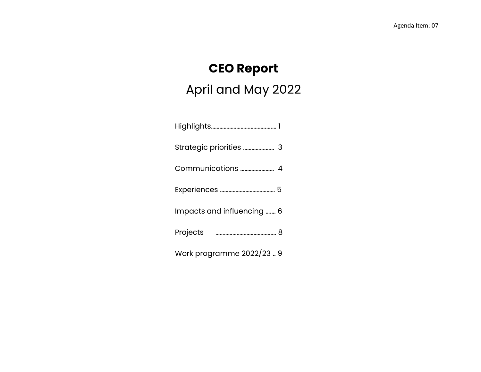# **CEO Report**

# April and May 2022

Highlights……………………….………..….… 1 Strategic priorities …………….…… 3 Communications …………………… 4 Experiences ………………………………… 5 Impacts and influencing ….… 6 Projects ………………………………….… 8 Work programme 2022/23 .. 9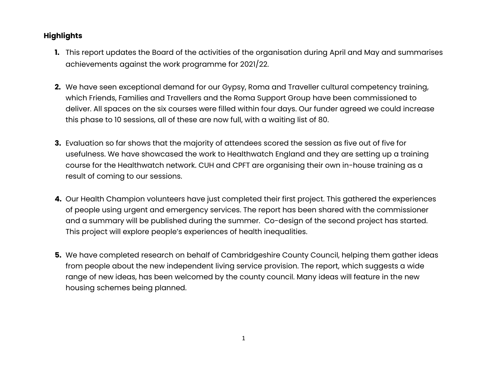#### **Highlights**

- **1.** This report updates the Board of the activities of the organisation during April and May and summarises achievements against the work programme for 2021/22.
- **2.** We have seen exceptional demand for our Gypsy, Roma and Traveller cultural competency training, which Friends, Families and Travellers and the Roma Support Group have been commissioned to deliver. All spaces on the six courses were filled within four days. Our funder agreed we could increase this phase to 10 sessions, all of these are now full, with a waiting list of 80.
- **3.** Evaluation so far shows that the majority of attendees scored the session as five out of five for usefulness. We have showcased the work to Healthwatch England and they are setting up a training course for the Healthwatch network. CUH and CPFT are organising their own in-house training as a result of coming to our sessions.
- **4.** Our Health Champion volunteers have just completed their first project. This gathered the experiences of people using urgent and emergency services. The report has been shared with the commissioner and a summary will be published during the summer. Co-design of the second project has started. This project will explore people's experiences of health inequalities.
- **5.** We have completed research on behalf of Cambridgeshire County Council, helping them gather ideas from people about the new independent living service provision. The report, which suggests a wide range of new ideas, has been welcomed by the county council. Many ideas will feature in the new housing schemes being planned.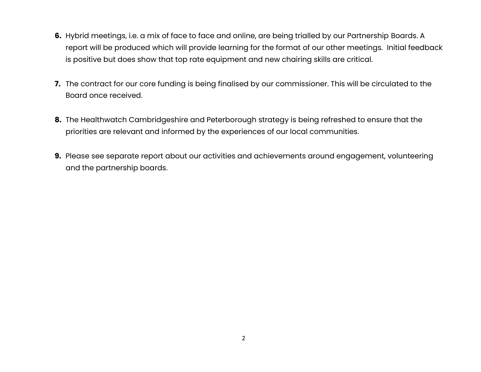- **6.** Hybrid meetings, i.e. a mix of face to face and online, are being trialled by our Partnership Boards. A report will be produced which will provide learning for the format of our other meetings. Initial feedback is positive but does show that top rate equipment and new chairing skills are critical.
- **7.** The contract for our core funding is being finalised by our commissioner. This will be circulated to the Board once received.
- **8.** The Healthwatch Cambridgeshire and Peterborough strategy is being refreshed to ensure that the priorities are relevant and informed by the experiences of our local communities.
- **9.** Please see separate report about our activities and achievements around engagement, volunteering and the partnership boards.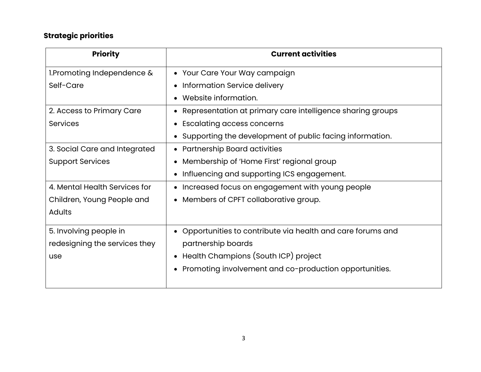### **Strategic priorities**

| <b>Priority</b>               | <b>Current activities</b>                                    |
|-------------------------------|--------------------------------------------------------------|
| 1. Promoting Independence &   | • Your Care Your Way campaign                                |
| Self-Care                     | Information Service delivery                                 |
|                               | Website information.                                         |
| 2. Access to Primary Care     | Representation at primary care intelligence sharing groups   |
| <b>Services</b>               | <b>Escalating access concerns</b>                            |
|                               | Supporting the development of public facing information.     |
| 3. Social Care and Integrated | • Partnership Board activities                               |
| <b>Support Services</b>       | Membership of 'Home First' regional group                    |
|                               | Influencing and supporting ICS engagement.<br>$\bullet$      |
| 4. Mental Health Services for | Increased focus on engagement with young people<br>$\bullet$ |
| Children, Young People and    | Members of CPFT collaborative group.                         |
| <b>Adults</b>                 |                                                              |
| 5. Involving people in        | Opportunities to contribute via health and care forums and   |
| redesigning the services they | partnership boards                                           |
| use                           | Health Champions (South ICP) project                         |
|                               | Promoting involvement and co-production opportunities.       |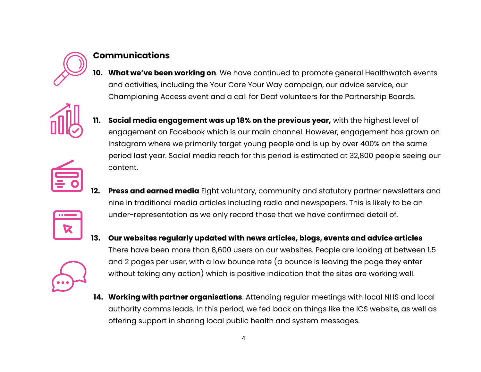

#### **Communications**

**10. What we've been working on**. We have continued to promote general Healthwatch events and activities, including the Your Care Your Way campaign, our advice service, our Championing Access event and a call for Deaf volunteers for the Partnership Boards.



**11. Social media engagement was up 18% on the previous year,** with the highest level of engagement on Facebook which is our main channel. However, engagement has grown on Instagram where we primarily target young people and is up by over 400% on the same period last year. Social media reach for this period is estimated at 32,800 people seeing our content.



- **12. Press and earned media** Eight voluntary, community and statutory partner newsletters and nine in traditional media articles including radio and newspapers. This is likely to be an under-representation as we only record those that we have confirmed detail of.
- **13. Our websites regularly updated with news articles, blogs, events and advice articles**  There have been more than 8,600 users on our websites. People are looking at between 1.5 and 2 pages per user, with a low bounce rate (a bounce is leaving the page they enter without taking any action) which is positive indication that the sites are working well.
- **14. Working with partner organisations**. Attending regular meetings with local NHS and local authority comms leads. In this period, we fed back on things like the ICS website, as well as offering support in sharing local public health and system messages.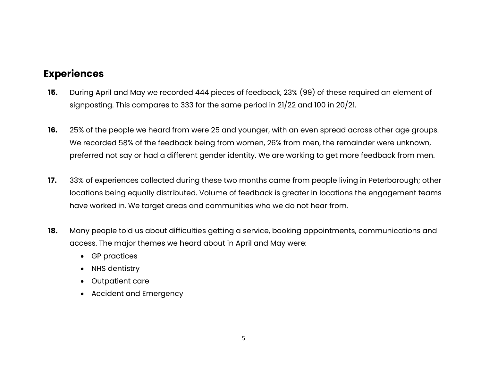#### **Experiences**

- **15.** During April and May we recorded 444 pieces of feedback, 23% (99) of these required an element of signposting. This compares to 333 for the same period in 21/22 and 100 in 20/21.
- **16.** 25% of the people we heard from were 25 and younger, with an even spread across other age groups. We recorded 58% of the feedback being from women, 26% from men, the remainder were unknown, preferred not say or had a different gender identity. We are working to get more feedback from men.
- **17.** 33% of experiences collected during these two months came from people living in Peterborough; other locations being equally distributed. Volume of feedback is greater in locations the engagement teams have worked in. We target areas and communities who we do not hear from.
- **18.** Many people told us about difficulties getting a service, booking appointments, communications and access. The major themes we heard about in April and May were:
	- GP practices
	- NHS dentistry
	- Outpatient care
	- Accident and Emergency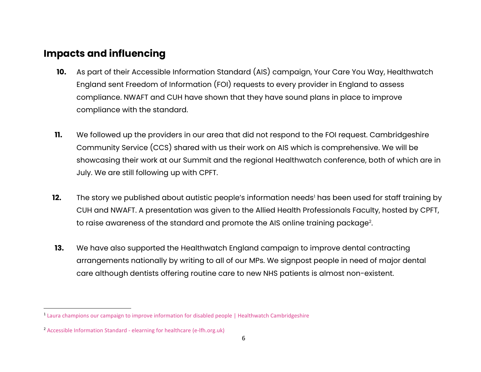#### **Impacts and influencing**

- **10.** As part of their Accessible Information Standard (AIS) campaign, Your Care You Way, Healthwatch England sent Freedom of Information (FOI) requests to every provider in England to assess compliance. NWAFT and CUH have shown that they have sound plans in place to improve compliance with the standard.
- **11.** We followed up the providers in our area that did not respond to the FOI request. Cambridgeshire Community Service (CCS) shared with us their work on AIS which is comprehensive. We will be showcasing their work at our Summit and the regional Healthwatch conference, both of which are in July. We are still following up with CPFT.
- **12.** The story we published about autistic people's information needs<sup>1</sup> has been used for staff training by CUH and NWAFT. A presentation was given to the Allied Health Professionals Faculty, hosted by CPFT, to raise awareness of the standard and promote the AIS online training package $^{\rm 2}$ .
- **13.** We have also supported the Healthwatch England campaign to improve dental contracting arrangements nationally by writing to all of our MPs. We signpost people in need of major dental care although dentists offering routine care to new NHS patients is almost non-existent.

<sup>&</sup>lt;sup>1</sup> [Laura champions our campaign to improve information for disabled people | Healthwatch Cambridgeshire](https://www.healthwatchcambridgeshire.co.uk/news/2022-04-27/laura-champions-our-campaign-improve-information-disabled-people)

<sup>2</sup> Accessible Information Standard - [elearning for healthcare \(e-lfh.org.uk\)](https://www.e-lfh.org.uk/programmes/accessible-information-standard/)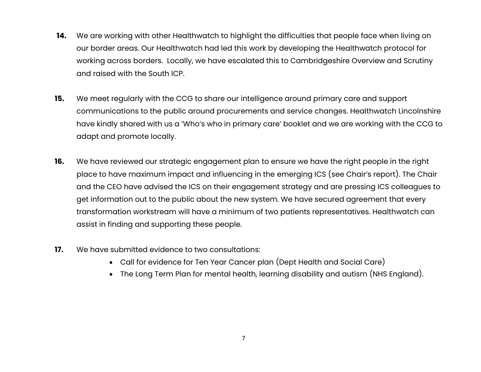- **14.** We are working with other Healthwatch to highlight the difficulties that people face when living on our border areas. Our Healthwatch had led this work by developing the Healthwatch protocol for working across borders. Locally, we have escalated this to Cambridgeshire Overview and Scrutiny and raised with the South ICP.
- **15.** We meet regularly with the CCG to share our intelligence around primary care and support communications to the public around procurements and service changes. Healthwatch Lincolnshire have kindly shared with us a 'Who's who in primary care' booklet and we are working with the CCG to adapt and promote locally.
- **16.** We have reviewed our strategic engagement plan to ensure we have the right people in the right place to have maximum impact and influencing in the emerging ICS (see Chair's report). The Chair and the CEO have advised the ICS on their engagement strategy and are pressing ICS colleagues to get information out to the public about the new system. We have secured agreement that every transformation workstream will have a minimum of two patients representatives. Healthwatch can assist in finding and supporting these people.
- **17.** We have submitted evidence to two consultations:
	- Call for evidence for Ten Year Cancer plan (Dept Health and Social Care)
	- The Long Term Plan for mental health, learning disability and autism (NHS England).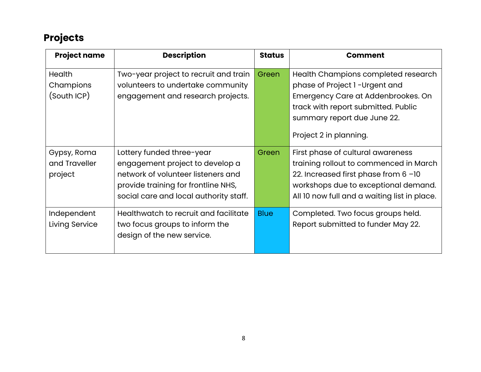### **Projects**

| <b>Project name</b>                       | <b>Description</b>                                                                                                                                                                  | <b>Status</b> | <b>Comment</b>                                                                                                                                                                                              |
|-------------------------------------------|-------------------------------------------------------------------------------------------------------------------------------------------------------------------------------------|---------------|-------------------------------------------------------------------------------------------------------------------------------------------------------------------------------------------------------------|
| <b>Health</b><br>Champions<br>(South ICP) | Two-year project to recruit and train<br>volunteers to undertake community<br>engagement and research projects.                                                                     | Green         | Health Champions completed research<br>phase of Project 1-Urgent and<br>Emergency Care at Addenbrookes. On<br>track with report submitted. Public<br>summary report due June 22.<br>Project 2 in planning.  |
| Gypsy, Roma<br>and Traveller<br>project   | Lottery funded three-year<br>engagement project to develop a<br>network of volunteer listeners and<br>provide training for frontline NHS,<br>social care and local authority staff. | Green         | First phase of cultural awareness<br>training rollout to commenced in March<br>22. Increased first phase from 6 -10<br>workshops due to exceptional demand.<br>All 10 now full and a waiting list in place. |
| Independent<br>Living Service             | Healthwatch to recruit and facilitate<br>two focus groups to inform the<br>design of the new service.                                                                               | <b>Blue</b>   | Completed. Two focus groups held.<br>Report submitted to funder May 22.                                                                                                                                     |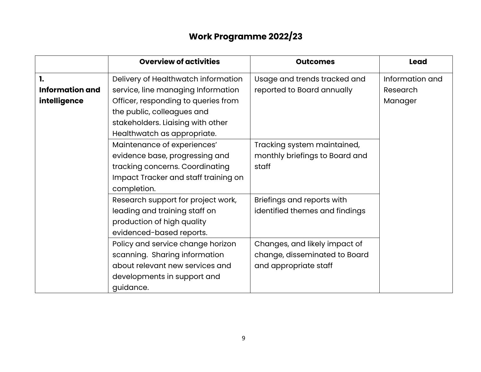## **Work Programme 2022/23**

|                        | <b>Overview of activities</b>        | <b>Outcomes</b>                | <b>Lead</b>     |
|------------------------|--------------------------------------|--------------------------------|-----------------|
| 1.                     | Delivery of Healthwatch information  | Usage and trends tracked and   | Information and |
| <b>Information and</b> | service, line managing Information   | reported to Board annually     | Research        |
| intelligence           | Officer, responding to queries from  |                                | Manager         |
|                        | the public, colleagues and           |                                |                 |
|                        | stakeholders. Liaising with other    |                                |                 |
|                        | Healthwatch as appropriate.          |                                |                 |
|                        | Maintenance of experiences'          | Tracking system maintained,    |                 |
|                        | evidence base, progressing and       | monthly briefings to Board and |                 |
|                        | tracking concerns. Coordinating      | staff                          |                 |
|                        | Impact Tracker and staff training on |                                |                 |
|                        | completion.                          |                                |                 |
|                        | Research support for project work,   | Briefings and reports with     |                 |
|                        | leading and training staff on        | identified themes and findings |                 |
|                        | production of high quality           |                                |                 |
|                        | evidenced-based reports.             |                                |                 |
|                        | Policy and service change horizon    | Changes, and likely impact of  |                 |
|                        | scanning. Sharing information        | change, disseminated to Board  |                 |
|                        | about relevant new services and      | and appropriate staff          |                 |
|                        | developments in support and          |                                |                 |
|                        | guidance.                            |                                |                 |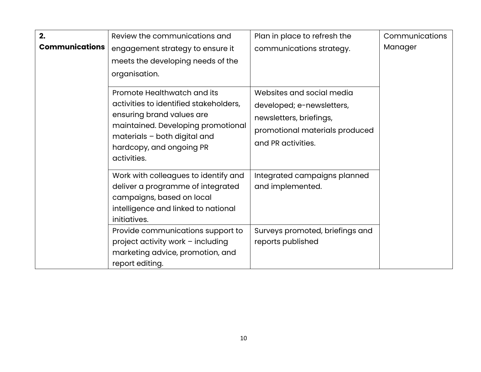| 2.<br><b>Communications</b> | Review the communications and                                                                                                                                                                                       | Plan in place to refresh the                                                                                                              | Communications<br>Manager |
|-----------------------------|---------------------------------------------------------------------------------------------------------------------------------------------------------------------------------------------------------------------|-------------------------------------------------------------------------------------------------------------------------------------------|---------------------------|
|                             | engagement strategy to ensure it<br>meets the developing needs of the<br>organisation.                                                                                                                              | communications strategy.                                                                                                                  |                           |
|                             | Promote Healthwatch and its<br>activities to identified stakeholders,<br>ensuring brand values are<br>maintained. Developing promotional<br>materials - both digital and<br>hardcopy, and ongoing PR<br>activities. | Websites and social media<br>developed; e-newsletters,<br>newsletters, briefings,<br>promotional materials produced<br>and PR activities. |                           |
|                             | Work with colleagues to identify and<br>deliver a programme of integrated<br>campaigns, based on local<br>intelligence and linked to national<br>initiatives.                                                       | Integrated campaigns planned<br>and implemented.                                                                                          |                           |
|                             | Provide communications support to<br>project activity work - including<br>marketing advice, promotion, and<br>report editing.                                                                                       | Surveys promoted, briefings and<br>reports published                                                                                      |                           |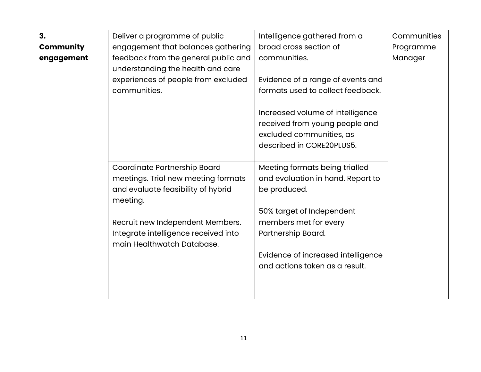| 3.               | Deliver a programme of public        | Intelligence gathered from a       | Communities |
|------------------|--------------------------------------|------------------------------------|-------------|
| <b>Community</b> | engagement that balances gathering   | broad cross section of             | Programme   |
| engagement       | feedback from the general public and | communities.                       | Manager     |
|                  | understanding the health and care    |                                    |             |
|                  | experiences of people from excluded  | Evidence of a range of events and  |             |
|                  | communities.                         | formats used to collect feedback.  |             |
|                  |                                      |                                    |             |
|                  |                                      | Increased volume of intelligence   |             |
|                  |                                      | received from young people and     |             |
|                  |                                      | excluded communities, as           |             |
|                  |                                      | described in CORE20PLUS5.          |             |
|                  | Coordinate Partnership Board         | Meeting formats being trialled     |             |
|                  | meetings. Trial new meeting formats  | and evaluation in hand. Report to  |             |
|                  | and evaluate feasibility of hybrid   | be produced.                       |             |
|                  | meeting.                             |                                    |             |
|                  |                                      | 50% target of Independent          |             |
|                  | Recruit new Independent Members.     | members met for every              |             |
|                  | Integrate intelligence received into | Partnership Board.                 |             |
|                  | main Healthwatch Database.           |                                    |             |
|                  |                                      | Evidence of increased intelligence |             |
|                  |                                      | and actions taken as a result.     |             |
|                  |                                      |                                    |             |
|                  |                                      |                                    |             |
|                  |                                      |                                    |             |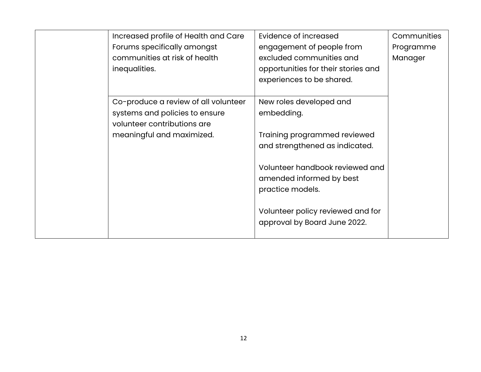| Increased profile of Health and Care<br>Forums specifically amongst<br>communities at risk of health<br>inequalities.              | Evidence of increased<br>engagement of people from<br>excluded communities and<br>opportunities for their stories and<br>experiences to be shared.                                                                                                              | Communities<br>Programme<br>Manager |
|------------------------------------------------------------------------------------------------------------------------------------|-----------------------------------------------------------------------------------------------------------------------------------------------------------------------------------------------------------------------------------------------------------------|-------------------------------------|
| Co-produce a review of all volunteer<br>systems and policies to ensure<br>volunteer contributions are<br>meaningful and maximized. | New roles developed and<br>embedding.<br>Training programmed reviewed<br>and strengthened as indicated.<br>Volunteer handbook reviewed and<br>amended informed by best<br>practice models.<br>Volunteer policy reviewed and for<br>approval by Board June 2022. |                                     |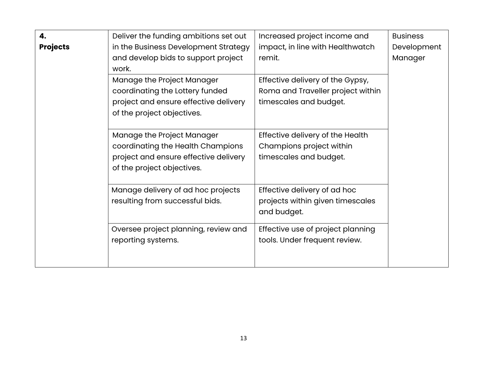| 4.              | Deliver the funding ambitions set out | Increased project income and      | <b>Business</b> |
|-----------------|---------------------------------------|-----------------------------------|-----------------|
| <b>Projects</b> | in the Business Development Strategy  | impact, in line with Healthwatch  | Development     |
|                 | and develop bids to support project   | remit.                            | Manager         |
|                 | work.                                 |                                   |                 |
|                 | Manage the Project Manager            | Effective delivery of the Gypsy,  |                 |
|                 | coordinating the Lottery funded       | Roma and Traveller project within |                 |
|                 | project and ensure effective delivery | timescales and budget.            |                 |
|                 | of the project objectives.            |                                   |                 |
|                 |                                       |                                   |                 |
|                 | Manage the Project Manager            | Effective delivery of the Health  |                 |
|                 | coordinating the Health Champions     | Champions project within          |                 |
|                 | project and ensure effective delivery | timescales and budget.            |                 |
|                 | of the project objectives.            |                                   |                 |
|                 |                                       |                                   |                 |
|                 | Manage delivery of ad hoc projects    | Effective delivery of ad hoc      |                 |
|                 | resulting from successful bids.       | projects within given timescales  |                 |
|                 |                                       | and budget.                       |                 |
|                 | Oversee project planning, review and  | Effective use of project planning |                 |
|                 | reporting systems.                    | tools. Under frequent review.     |                 |
|                 |                                       |                                   |                 |
|                 |                                       |                                   |                 |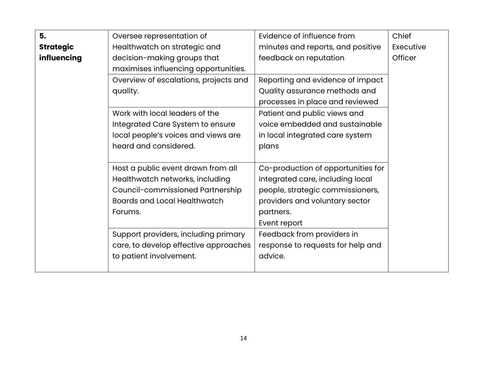| 5.               | Oversee representation of             | Evidence of influence from         | Chief     |
|------------------|---------------------------------------|------------------------------------|-----------|
| <b>Strategic</b> | Healthwatch on strategic and          | minutes and reports, and positive  | Executive |
| influencing      | decision-making groups that           | feedback on reputation             | Officer   |
|                  | maximises influencing opportunities.  |                                    |           |
|                  | Overview of escalations, projects and | Reporting and evidence of impact   |           |
|                  | quality.                              | Quality assurance methods and      |           |
|                  |                                       | processes in place and reviewed    |           |
|                  | Work with local leaders of the        | Patient and public views and       |           |
|                  | Integrated Care System to ensure      | voice embedded and sustainable     |           |
|                  | local people's voices and views are   | in local integrated care system    |           |
|                  | heard and considered.                 | plans                              |           |
|                  |                                       |                                    |           |
|                  | Host a public event drawn from all    | Co-production of opportunities for |           |
|                  | Healthwatch networks, including       | integrated care, including local   |           |
|                  | Council-commissioned Partnership      | people, strategic commissioners,   |           |
|                  | <b>Boards and Local Healthwatch</b>   | providers and voluntary sector     |           |
|                  | Forums.                               | partners.                          |           |
|                  |                                       | Event report                       |           |
|                  | Support providers, including primary  | Feedback from providers in         |           |
|                  | care, to develop effective approaches | response to requests for help and  |           |
|                  | to patient involvement.               | advice.                            |           |
|                  |                                       |                                    |           |